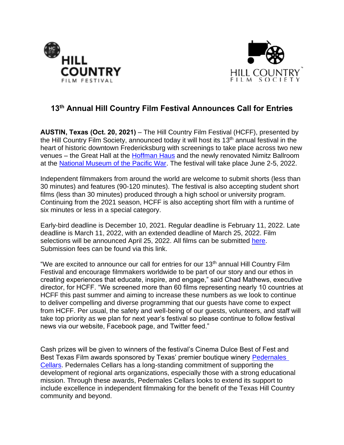



## **13 th Annual Hill Country Film Festival Announces Call for Entries**

**AUSTIN, Texas (Oct. 20, 2021)** – The Hill Country Film Festival (HCFF), presented by the Hill Country Film Society, announced today it will host its 13<sup>th</sup> annual festival in the heart of historic downtown Fredericksburg with screenings to take place across two new venues – the Great Hall at the [Hoffman Haus](https://hoffmanhaus.com/) and the newly renovated Nimitz Ballroom at the [National Museum of the Pacific War.](https://www.pacificwarmuseum.org/) The festival will take place June 2-5, 2022.

Independent filmmakers from around the world are welcome to submit shorts (less than 30 minutes) and features (90-120 minutes). The festival is also accepting student short films (less than 30 minutes) produced through a high school or university program. Continuing from the 2021 season, HCFF is also accepting short film with a runtime of six minutes or less in a special category.

Early-bird deadline is December 10, 2021. Regular deadline is February 11, 2022. Late deadline is March 11, 2022, with an extended deadline of March 25, 2022. Film selections will be announced April 25, 2022. All films can be submitted [here.](http://www.hillcountryff.com/festival/submissions-3/) Submission fees can be found via this link.

"We are excited to announce our call for entries for our 13<sup>th</sup> annual Hill Country Film Festival and encourage filmmakers worldwide to be part of our story and our ethos in creating experiences that educate, inspire, and engage," said Chad Mathews, executive director, for HCFF. "We screened more than 60 films representing nearly 10 countries at HCFF this past summer and aiming to increase these numbers as we look to continue to deliver compelling and diverse programming that our guests have come to expect from HCFF. Per usual, the safety and well-being of our guests, volunteers, and staff will take top priority as we plan for next year's festival so please continue to follow festival news via our website, Facebook page, and Twitter feed."

Cash prizes will be given to winners of the festival's Cinema Dulce Best of Fest and Best Texas Film awards sponsored by Texas' premier boutique winery [Pedernales](https://www.pedernalescellars.com/) [Cellars.](https://www.pedernalescellars.com/) Pedernales Cellars has a long-standing commitment of supporting the development of regional arts organizations, especially those with a strong educational mission. Through these awards, Pedernales Cellars looks to extend its support to include excellence in independent filmmaking for the benefit of the Texas Hill Country community and beyond.